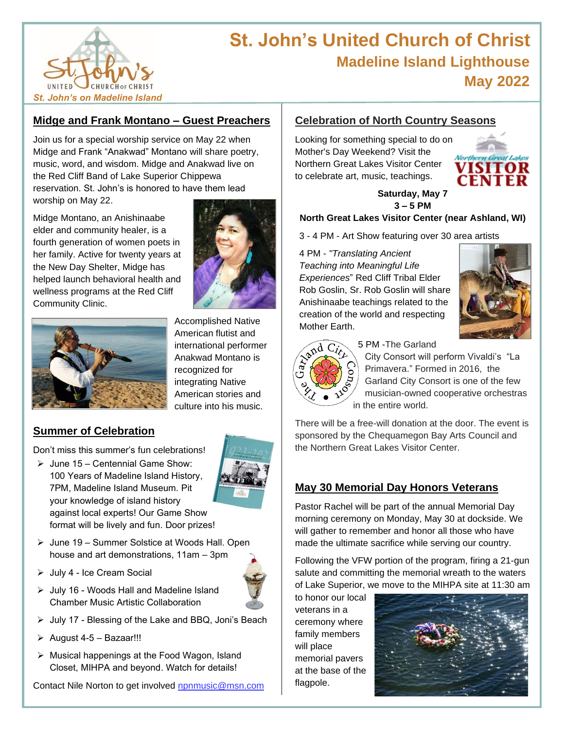

# **St. John's United Church of Christ Madeline Island Lighthouse May 2022**

## **Midge and Frank Montano – Guest Preachers**

Join us for a special worship service on May 22 when Midge and Frank "Anakwad" Montano will share poetry, music, word, and wisdom. Midge and Anakwad live on the Red Cliff Band of Lake Superior Chippewa reservation. St. John's is honored to have them lead worship on May 22.

Midge Montano, an Anishinaabe elder and community healer, is a fourth generation of women poets in her family. Active for twenty years at the New Day Shelter, Midge has helped launch behavioral health and wellness programs at the Red Cliff Community Clinic.





Accomplished Native American flutist and international performer Anakwad Montano is recognized for integrating Native American stories and culture into his music.

### **Summer of Celebration**

Don't miss this summer's fun celebrations!

 $\triangleright$  June 15 – Centennial Game Show: 100 Years of Madeline Island History, 7PM, Madeline Island Museum. Pit your knowledge of island history against local experts! Our Game Show format will be lively and fun. Door prizes!



- ➢ June 19 Summer Solstice at Woods Hall. Open house and art demonstrations, 11am – 3pm
- ➢ July 4 Ice Cream Social



- ➢ July 16 Woods Hall and Madeline Island Chamber Music Artistic Collaboration
- ➢ July 17 Blessing of the Lake and BBQ, Joni's Beach
- $\triangleright$  August 4-5 Bazaar!!!
- ➢ Musical happenings at the Food Wagon, Island Closet, MIHPA and beyond. Watch for details!

Contact Nile Norton to get involved [npnmusic@msn.com](mailto:npnmusic@msn.com)

# **Celebration of North Country Seasons**

Looking for something special to do on Mother's Day Weekend? Visit the Northern Great Lakes Visitor Center to celebrate art, music, teachings.



#### **Saturday, May 7 3 – 5 PM**

#### **North Great Lakes Visitor Center (near Ashland, WI)**

3 - 4 PM - Art Show featuring over 30 area artists

4 PM - *"Translating Ancient Teaching into Meaningful Life Experiences*" Red Cliff Tribal Elder Rob Goslin, Sr. Rob Goslin will share Anishinaabe teachings related to the creation of the world and respecting Mother Earth.





5 PM -The Garland

City Consort will perform Vivaldi's "La Primavera." Formed in 2016, the Garland City Consort is one of the few musician-owned cooperative orchestras in the entire world.

There will be a free-will donation at the door. The event is sponsored by the Chequamegon Bay Arts Council and the Northern Great Lakes Visitor Center.

### **May 30 Memorial Day Honors Veterans**

Pastor Rachel will be part of the annual Memorial Day morning ceremony on Monday, May 30 at dockside. We will gather to remember and honor all those who have made the ultimate sacrifice while serving our country.

Following the VFW portion of the program, firing a 21-gun salute and committing the memorial wreath to the waters of Lake Superior, we move to the MIHPA site at 11:30 am

to honor our local veterans in a ceremony where family members will place memorial pavers at the base of the flagpole.

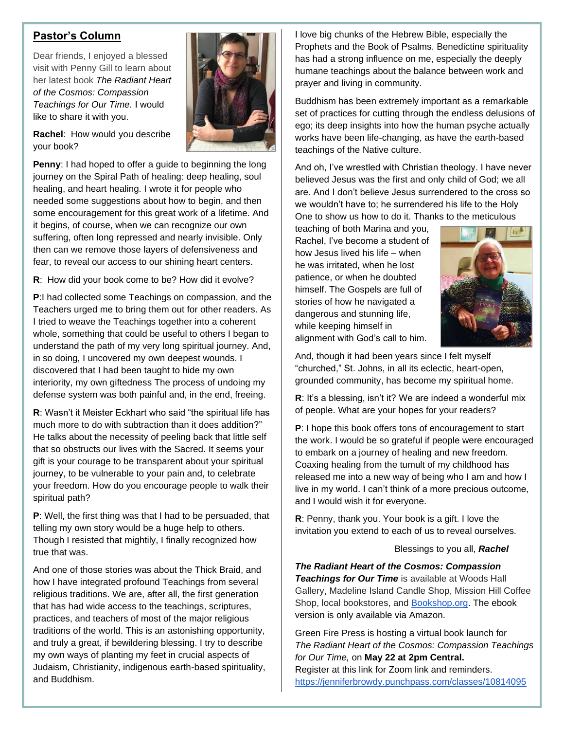#### **Pastor's Column**

Dear friends, I enjoyed a blessed visit with Penny Gill to learn about her latest book *The Radiant Heart of the Cosmos: Compassion Teachings for Our Time.* I would like to share it with you.

**Rachel**: How would you describe your book?

**Penny**: I had hoped to offer a guide to beginning the long journey on the Spiral Path of healing: deep healing, soul healing, and heart healing. I wrote it for people who needed some suggestions about how to begin, and then some encouragement for this great work of a lifetime. And it begins, of course, when we can recognize our own suffering, often long repressed and nearly invisible. Only then can we remove those layers of defensiveness and fear, to reveal our access to our shining heart centers.

**R**: How did your book come to be? How did it evolve?

**P**:I had collected some Teachings on compassion, and the Teachers urged me to bring them out for other readers. As I tried to weave the Teachings together into a coherent whole, something that could be useful to others I began to understand the path of my very long spiritual journey. And, in so doing, I uncovered my own deepest wounds. I discovered that I had been taught to hide my own interiority, my own giftedness The process of undoing my defense system was both painful and, in the end, freeing.

**R**: Wasn't it Meister Eckhart who said "the spiritual life has much more to do with subtraction than it does addition?" He talks about the necessity of peeling back that little self that so obstructs our lives with the Sacred. It seems your gift is your courage to be transparent about your spiritual journey, to be vulnerable to your pain and, to celebrate your freedom. How do you encourage people to walk their spiritual path?

**P**: Well, the first thing was that I had to be persuaded, that telling my own story would be a huge help to others. Though I resisted that mightily, I finally recognized how true that was.

And one of those stories was about the Thick Braid, and how I have integrated profound Teachings from several religious traditions. We are, after all, the first generation that has had wide access to the teachings, scriptures, practices, and teachers of most of the major religious traditions of the world. This is an astonishing opportunity, and truly a great, if bewildering blessing. I try to describe my own ways of planting my feet in crucial aspects of Judaism, Christianity, indigenous earth-based spirituality, and Buddhism.

I love big chunks of the Hebrew Bible, especially the Prophets and the Book of Psalms. Benedictine spirituality has had a strong influence on me, especially the deeply humane teachings about the balance between work and prayer and living in community.

Buddhism has been extremely important as a remarkable set of practices for cutting through the endless delusions of ego; its deep insights into how the human psyche actually works have been life-changing, as have the earth-based teachings of the Native culture.

And oh, I've wrestled with Christian theology. I have never believed Jesus was the first and only child of God; we all are. And I don't believe Jesus surrendered to the cross so we wouldn't have to; he surrendered his life to the Holy One to show us how to do it. Thanks to the meticulous

teaching of both Marina and you, Rachel, I've become a student of how Jesus lived his life – when he was irritated, when he lost patience, or when he doubted himself. The Gospels are full of stories of how he navigated a dangerous and stunning life, while keeping himself in alignment with God's call to him.



And, though it had been years since I felt myself "churched," St. Johns, in all its eclectic, heart-open, grounded community, has become my spiritual home.

**R**: It's a blessing, isn't it? We are indeed a wonderful mix of people. What are your hopes for your readers?

**P**: I hope this book offers tons of encouragement to start the work. I would be so grateful if people were encouraged to embark on a journey of healing and new freedom. Coaxing healing from the tumult of my childhood has released me into a new way of being who I am and how I live in my world. I can't think of a more precious outcome, and I would wish it for everyone.

**R**: Penny, thank you. Your book is a gift. I love the invitation you extend to each of us to reveal ourselves.

#### Blessings to you all, *Rachel*

*The Radiant Heart of the Cosmos: Compassion Teachings for Our Time* is available at Woods Hall Gallery, Madeline Island Candle Shop, Mission Hill Coffee Shop, local bookstores, and **Bookshop.org**. The ebook version is only available via Amazon.

Green Fire Press is hosting a virtual book launch for *The Radiant Heart of the Cosmos: Compassion Teachings for Our Time,* on **May 22 at 2pm Central.** Register at this link for Zoom link and reminders. <https://jenniferbrowdy.punchpass.com/classes/10814095>

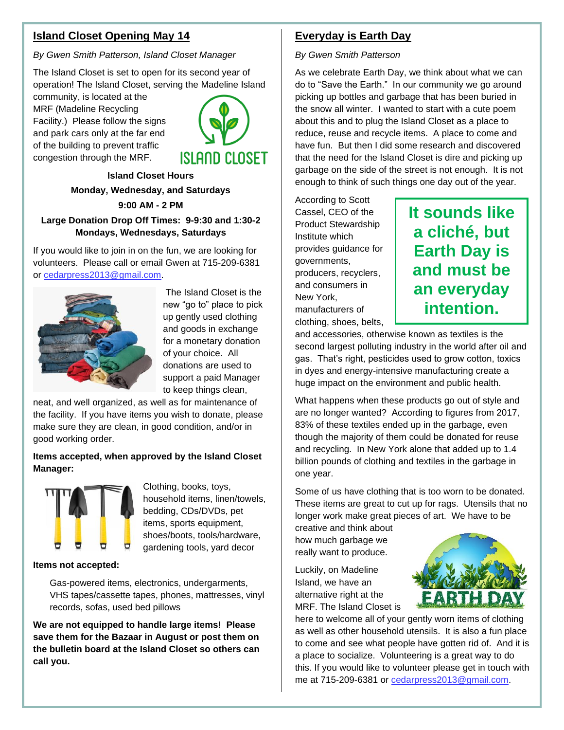#### **Island Closet Opening May 14**

*By Gwen Smith Patterson, Island Closet Manager*

The Island Closet is set to open for its second year of operation! The Island Closet, serving the Madeline Island

community, is located at the MRF (Madeline Recycling Facility.) Please follow the signs and park cars only at the far end of the building to prevent traffic congestion through the MRF.



**Island Closet Hours Monday, Wednesday, and Saturdays**

**9:00 AM - 2 PM**

#### **Large Donation Drop Off Times: 9-9:30 and 1:30-2 Mondays, Wednesdays, Saturdays**

If you would like to join in on the fun, we are looking for volunteers. Please call or email Gwen at 715-209-6381 or [cedarpress2013@gmail.com.](cedarpress2013@gmail.com)



The Island Closet is the new "go to" place to pick up gently used clothing and goods in exchange for a monetary donation of your choice. All donations are used to support a paid Manager to keep things clean,

neat, and well organized, as well as for maintenance of the facility. If you have items you wish to donate, please make sure they are clean, in good condition, and/or in good working order.

#### **Items accepted, when approved by the Island Closet Manager:**



Clothing, books, toys, household items, linen/towels, bedding, CDs/DVDs, pet items, sports equipment, shoes/boots, tools/hardware, gardening tools, yard decor

#### **Items not accepted:**

Gas-powered items, electronics, undergarments, VHS tapes/cassette tapes, phones, mattresses, vinyl records, sofas, used bed pillows

**We are not equipped to handle large items! Please save them for the Bazaar in August or post them on the bulletin board at the Island Closet so others can call you.**

### **Everyday is Earth Day**

*By Gwen Smith Patterson*

As we celebrate Earth Day, we think about what we can do to "Save the Earth." In our community we go around picking up bottles and garbage that has been buried in the snow all winter. I wanted to start with a cute poem about this and to plug the Island Closet as a place to reduce, reuse and recycle items. A place to come and have fun. But then I did some research and discovered that the need for the Island Closet is dire and picking up garbage on the side of the street is not enough. It is not enough to think of such things one day out of the year.

According to Scott Cassel, CEO of the Product Stewardship Institute which provides guidance for governments, producers, recyclers, and consumers in New York, manufacturers of clothing, shoes, belts,

# **It sounds like a cliché, but Earth Day is and must be an everyday intention.**

and accessories, otherwise known as textiles is the second largest polluting industry in the world after oil and gas. That's right, pesticides used to grow cotton, toxics in dyes and energy-intensive manufacturing create a huge impact on the environment and public health.

What happens when these products go out of style and are no longer wanted? According to figures from 2017, 83% of these textiles ended up in the garbage, even though the majority of them could be donated for reuse and recycling. In New York alone that added up to 1.4 billion pounds of clothing and textiles in the garbage in one year.

Some of us have clothing that is too worn to be donated. These items are great to cut up for rags. Utensils that no longer work make great pieces of art. We have to be

creative and think about how much garbage we really want to produce.

Luckily, on Madeline Island, we have an alternative right at the MRF. The Island Closet is



here to welcome all of your gently worn items of clothing as well as other household utensils. It is also a fun place to come and see what people have gotten rid of. And it is a place to socialize. Volunteering is a great way to do this. If you would like to volunteer please get in touch with me at 715-209-6381 or [cedarpress2013@gmail.com.](cedarpress2013@gmail.com)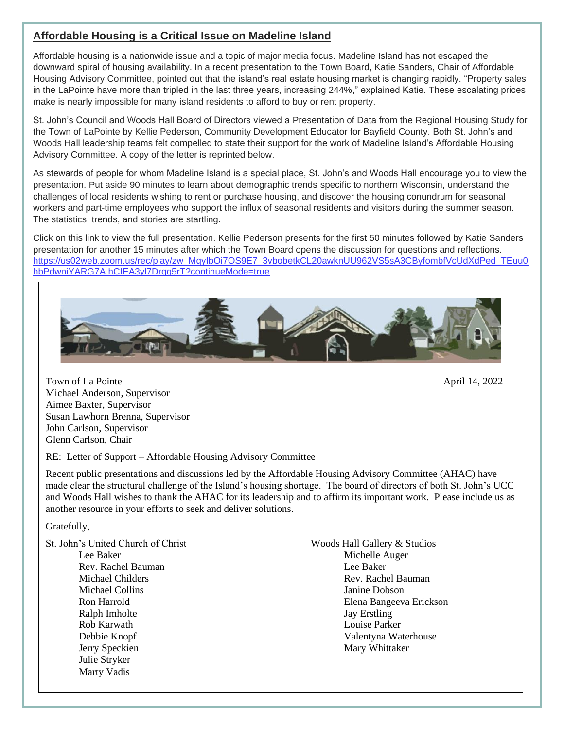#### **Affordable Housing is a Critical Issue on Madeline Island**

Affordable housing is a nationwide issue and a topic of major media focus. Madeline Island has not escaped the downward spiral of housing availability. In a recent presentation to the Town Board, Katie Sanders, Chair of Affordable Housing Advisory Committee, pointed out that the island's real estate housing market is changing rapidly. "Property sales in the LaPointe have more than tripled in the last three years, increasing 244%," explained Katie. These escalating prices make is nearly impossible for many island residents to afford to buy or rent property.

St. John's Council and Woods Hall Board of Directors viewed a Presentation of Data from the Regional Housing Study for the Town of LaPointe by Kellie Pederson, Community Development Educator for Bayfield County. Both St. John's and Woods Hall leadership teams felt compelled to state their support for the work of Madeline Island's Affordable Housing Advisory Committee. A copy of the letter is reprinted below.

As stewards of people for whom Madeline Island is a special place, St. John's and Woods Hall encourage you to view the presentation. Put aside 90 minutes to learn about demographic trends specific to northern Wisconsin, understand the challenges of local residents wishing to rent or purchase housing, and discover the housing conundrum for seasonal workers and part-time employees who support the influx of seasonal residents and visitors during the summer season. The statistics, trends, and stories are startling.

Click on this link to view the full presentation. Kellie Pederson presents for the first 50 minutes followed by Katie Sanders presentation for another 15 minutes after which the Town Board opens the discussion for questions and reflections. [https://us02web.zoom.us/rec/play/zw\\_MqyIbOi7OS9E7\\_3vbobetkCL20awknUU962VS5sA3CByfombfVcUdXdPed\\_TEuu0](https://us02web.zoom.us/rec/play/zw_MqyIbOi7OS9E7_3vbobetkCL20awknUU962VS5sA3CByfombfVcUdXdPed_TEuu0hbPdwniYARG7A.hCIEA3yl7Drqq5rT?continueMode=true) [hbPdwniYARG7A.hCIEA3yl7Drqq5rT?continueMode=true](https://us02web.zoom.us/rec/play/zw_MqyIbOi7OS9E7_3vbobetkCL20awknUU962VS5sA3CByfombfVcUdXdPed_TEuu0hbPdwniYARG7A.hCIEA3yl7Drqq5rT?continueMode=true)



Town of La Pointe April 14, 2022 Michael Anderson, Supervisor Aimee Baxter, Supervisor Susan Lawhorn Brenna, Supervisor John Carlson, Supervisor Glenn Carlson, Chair

RE: Letter of Support – Affordable Housing Advisory Committee

Recent public presentations and discussions led by the Affordable Housing Advisory Committee (AHAC) have made clear the structural challenge of the Island's housing shortage. The board of directors of both St. John's UCC and Woods Hall wishes to thank the AHAC for its leadership and to affirm its important work. Please include us as another resource in your efforts to seek and deliver solutions.

Gratefully,

| St. John's United Church of Christ | Woods Hall Gallery & Studios |
|------------------------------------|------------------------------|
| Lee Baker                          | Michelle Auger               |
| Rev. Rachel Bauman                 | Lee Baker                    |
| Michael Childers                   | Rev. Rachel Bauman           |
| Michael Collins                    | Janine Dobson                |
| Ron Harrold                        | Elena Bangeeva Erickson      |
| Ralph Imholte                      | <b>Jay Erstling</b>          |
| Rob Karwath                        | Louise Parker                |
| Debbie Knopf                       | Valentyna Waterhouse         |
| Jerry Speckien                     | Mary Whittaker               |
| Julie Stryker                      |                              |
| Marty Vadis                        |                              |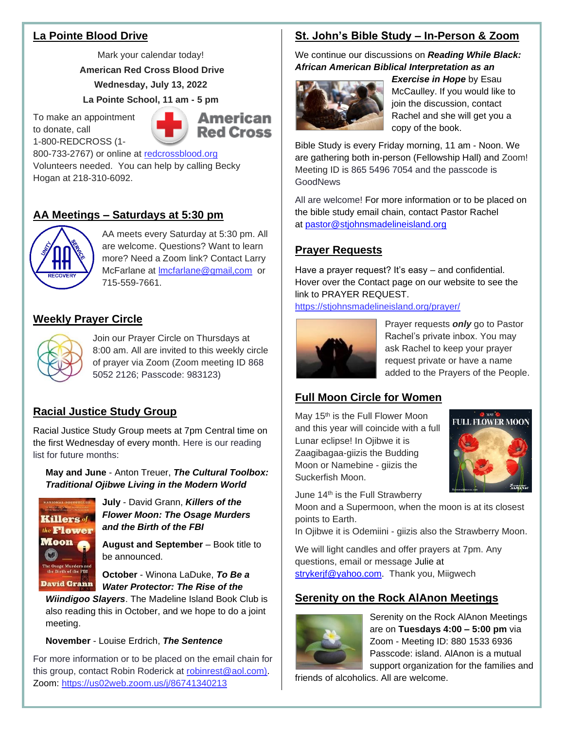## **La Pointe Blood Drive**

Mark your calendar today!

**American Red Cross Blood Drive Wednesday, July 13, 2022**

**La Pointe School, 11 am - 5 pm**

To make an appointment to donate, call 1-800-REDCROSS (1-



800-733-2767) or online at [redcrossblood.org](https://www.redcrossblood.org/) Volunteers needed. You can help by calling Becky Hogan at 218-310-6092.

# **AA Meetings – Saturdays at 5:30 pm**



AA meets every Saturday at 5:30 pm. All are welcome. Questions? Want to learn more? Need a Zoom link? Contact Larry McFarlane at [lmcfarlane@gmail,com](mailto:lmcfarlane@gmail,com) or 715-559-7661.

# **Weekly Prayer Circle**



Join our Prayer Circle on Thursdays at 8:00 am. All are invited to this weekly circle of prayer via Zoom (Zoom meeting ID 868 5052 2126; Passcode: 983123)

# **Racial Justice Study Group**

Racial Justice Study Group meets at 7pm Central time on the first Wednesday of every month. Here is our reading list for future months:

**May and June** - Anton Treuer, *The Cultural Toolbox: Traditional Ojibwe Living in the Modern World*



**July** - David Grann, *Killers of the Flower Moon: The Osage Murders and the Birth of the FBI*

**August and September** – Book title to be announced.

**October** - Winona LaDuke, *To Be a Water Protector: The Rise of the* 

*Wiindigoo Slayers*. The Madeline Island Book Club is also reading this in October, and we hope to do a joint meeting.

#### **November** - Louise Erdrich, *The Sentence*

For more information or to be placed on the email chain for this group, contact Robin Roderick at [robinrest@aol.com\).](about:blank) Zoom:<https://us02web.zoom.us/j/86741340213>

# **St. John's Bible Study – In-Person & Zoom**

We continue our discussions on *Reading While Black: African American Biblical Interpretation as an* 



*Exercise in Hope* by Esau McCaulley. If you would like to join the discussion, contact Rachel and she will get you a copy of the book.

Bible Study is every Friday morning, 11 am - Noon. We are gathering both in-person (Fellowship Hall) and Zoom! Meeting ID is 865 5496 7054 and the passcode is **GoodNews** 

All are welcome! For more information or to be placed on the bible study email chain, contact Pastor Rachel at [pastor@stjohnsmadelineisland.org](mailto:pastor@stjohnsmadelineisland.org)

# **Prayer Requests**

Have a prayer request? It's easy – and confidential. Hover over the Contact page on our website to see the link to PRAYER REQUEST.

<https://stjohnsmadelineisland.org/prayer/>



Prayer requests *only* go to Pastor Rachel's private inbox. You may ask Rachel to keep your prayer request private or have a name added to the Prayers of the People.

# **Full Moon Circle for Women**

May 15<sup>th</sup> is the Full Flower Moon and this year will coincide with a full Lunar eclipse! In Ojibwe it is Zaagibagaa-giizis the Budding Moon or Namebine - giizis the Suckerfish Moon.



June 14th is the Full Strawberry

Moon and a Supermoon, when the moon is at its closest points to Earth.

In Ojibwe it is Odemiini - giizis also the Strawberry Moon.

We will light candles and offer prayers at 7pm. Any questions, email or message Julie at [strykerjf@yahoo.com.](mailto:strykerjf@yahoo.com) Thank you, Miigwech

## **Serenity on the Rock AlAnon Meetings**



Serenity on the Rock AlAnon Meetings are on **Tuesdays 4:00 – 5:00 pm** via Zoom - Meeting ID: 880 1533 6936 Passcode: island. AlAnon is a mutual support organization for the families and

friends of alcoholics. All are welcome.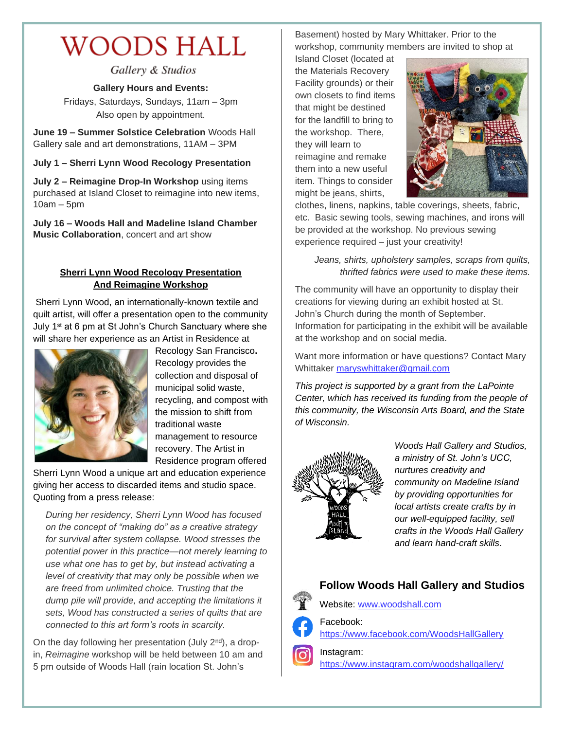# **WOODS HALL**

Gallery & Studios

**Gallery Hours and Events:**

Fridays, Saturdays, Sundays, 11am – 3pm Also open by appointment.

**June 19 – Summer Solstice Celebration** Woods Hall Gallery sale and art demonstrations, 11AM – 3PM

**July 1 – Sherri Lynn Wood Recology Presentation**

**July 2 – Reimagine Drop-In Workshop** using items purchased at Island Closet to reimagine into new items,  $10am - 5dm$ 

**July 16 – Woods Hall and Madeline Island Chamber Music Collaboration**, concert and art show

#### **Sherri Lynn Wood Recology Presentation And Reimagine Workshop**

Sherri Lynn Wood, an internationally-known textile and quilt artist, will offer a presentation open to the community July 1st at 6 pm at St John's Church Sanctuary where she will share her experience as an Artist in Residence at



Recology San Francisco**.**  Recology provides the collection and disposal of municipal solid waste, recycling, and compost with the mission to shift from traditional waste management to resource recovery. The Artist in Residence program offered

Sherri Lynn Wood a unique art and education experience giving her access to discarded items and studio space. Quoting from a press release:

*During her residency, Sherri Lynn Wood has focused on the concept of "making do" as a creative strategy for survival after system collapse. Wood stresses the potential power in this practice—not merely learning to use what one has to get by, but instead activating a level of creativity that may only be possible when we are freed from unlimited choice. Trusting that the dump pile will provide, and accepting the limitations it sets, Wood has constructed a series of quilts that are connected to this art form's roots in scarcity.*

On the day following her presentation (July  $2<sup>nd</sup>$ ), a dropin, *Reimagine* workshop will be held between 10 am and 5 pm outside of Woods Hall (rain location St. John's

Basement) hosted by Mary Whittaker. Prior to the workshop, community members are invited to shop at

Island Closet (located at the Materials Recovery Facility grounds) or their own closets to find items that might be destined for the landfill to bring to the workshop. There, they will learn to reimagine and remake them into a new useful item. Things to consider might be jeans, shirts,



clothes, linens, napkins, table coverings, sheets, fabric, etc. Basic sewing tools, sewing machines, and irons will be provided at the workshop. No previous sewing experience required – just your creativity!

*Jeans, shirts, upholstery samples, scraps from quilts, thrifted fabrics were used to make these items.*

The community will have an opportunity to display their creations for viewing during an exhibit hosted at St. John's Church during the month of September. Information for participating in the exhibit will be available at the workshop and on social media.

Want more information or have questions? Contact Mary Whittaker [maryswhittaker@gmail.com](mailto:maryswhittaker@gmail.com)

*This project is supported by a grant from the LaPointe Center, which has received its funding from the people of this community, the Wisconsin Arts Board, and the State of Wisconsin.*



*Woods Hall Gallery and Studios, a ministry of St. John's UCC, nurtures creativity and community on Madeline Island by providing opportunities for local artists create crafts by in our well-equipped facility, sell crafts in the Woods Hall Gallery and learn hand-craft skills*.

# **Follow Woods Hall Gallery and Studios**



Website: [www.woodshall.com](http://www.woodshall.com/)

Facebook: <https://www.facebook.com/WoodsHallGallery>

Instagram: <https://www.instagram.com/woodshallgallery/>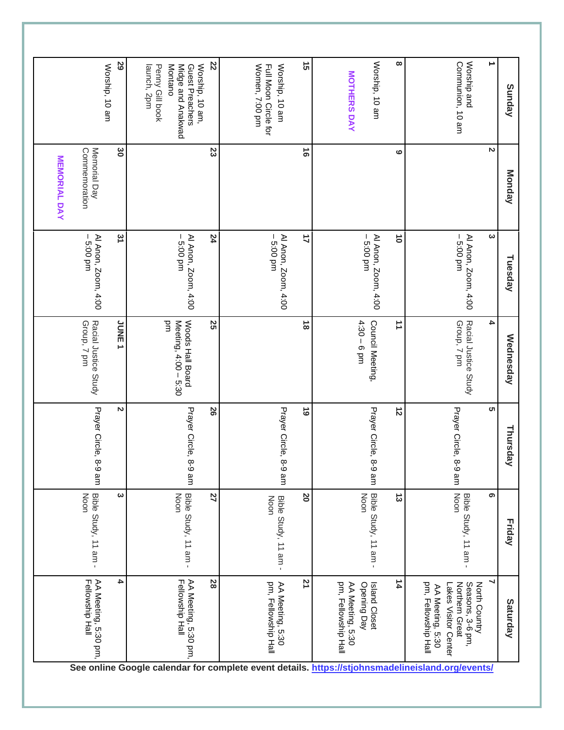| Sunday                                                             | Monday                        | Tuesday                           | Wednesday                                      | Thursday              | <b>Friday</b>                | Saturday                                                                                                                                                                                                 |
|--------------------------------------------------------------------|-------------------------------|-----------------------------------|------------------------------------------------|-----------------------|------------------------------|----------------------------------------------------------------------------------------------------------------------------------------------------------------------------------------------------------|
|                                                                    | N                             | ယ                                 | 4                                              | <b>ທ</b>              | ග                            | North Country                                                                                                                                                                                            |
| Worship and<br>Communion, 10 am                                    |                               | Al Anon, Zoom, 4:00<br>$-5.00$ pm | Racial Justice Study<br>Group, 7 pm            | Prayer Circle, 8-9 am | Bible Study, 11 am -<br>Noon | pm, Fellowship Hall<br>Seasons, 3-6 pm,<br>Northern Great<br>akes Visitor Center<br>AA Meeting, 5:30<br>See online Google calendar for complete event details. https://stjohnsmadelineisland.org/events/ |
| $\infty$                                                           | ဖ                             | $\vec{0}$                         | ≐                                              | $\vec{z}$             | ದ                            | 14                                                                                                                                                                                                       |
| Worship, 10 am                                                     |                               | Al Anon, Zoom, 4:00<br>$-5.00$ pm | Council Meeting,                               | Prayer Circle, 8-9 am | Bible Study, 11 am -<br>Noon | Opening Day<br>Island Closet                                                                                                                                                                             |
| <b>MOTHERS DAY</b>                                                 |                               |                                   | $4:30 - 6$ pm                                  |                       |                              | pm, Fellowship Hall<br>AA Meeting, 5:30                                                                                                                                                                  |
| ີ ຕ                                                                | $\vec{0}$                     | 4                                 | $\vec{8}$                                      | $\vec{6}$             | <b>N</b>                     | 21                                                                                                                                                                                                       |
| Women, 7:00 pm<br>Full Moon Circle for<br>Worship, 10 am           |                               | Al Anon, Zoom, 4:00<br>$-5.00$ pm |                                                | Prayer Circle, 8-9 am | Bible Study, 11 am -<br>Noon | pm, Fellowship Hall<br>AA Meeting, 5:30                                                                                                                                                                  |
| 22                                                                 | 23                            | 24                                | 25                                             | 50                    | 27                           | 28                                                                                                                                                                                                       |
| Montano<br>Midge and Anakwad<br>Guest Preachers<br>Worship, 10 am, |                               | Al Anon, Zoom, 4:00<br>5:00 pm    | Бm<br>Woods Hall Board<br>Meeting, 4:00 - 5:30 | Prayer Circle, 8-9 am | Bible Study, 11 am -<br>Noon | AA Meeting, 5:30 pm,<br>Fellowship Hall                                                                                                                                                                  |
| launch, 2pm<br>Penny Gill book                                     |                               |                                   |                                                |                       |                              |                                                                                                                                                                                                          |
| ಜ                                                                  | မွ                            | یہ                                | JUNE <sub>1</sub>                              | N                     | ပ                            | 4                                                                                                                                                                                                        |
| Worship, 10 am                                                     | Memorial Day<br>Commemoration | Al Anon, Zoom, 4:00<br>5:00 pm    | Racial Justice Study<br>Group, 7 pm            | Prayer Circle, 8-9 am | Bible Study, 11 am -<br>Noon | AA Meeting, 5:30 pm,<br>Fellowship Hall                                                                                                                                                                  |
|                                                                    | <b>MEMORIAL DAY</b>           |                                   |                                                |                       |                              |                                                                                                                                                                                                          |
|                                                                    |                               |                                   |                                                |                       |                              |                                                                                                                                                                                                          |